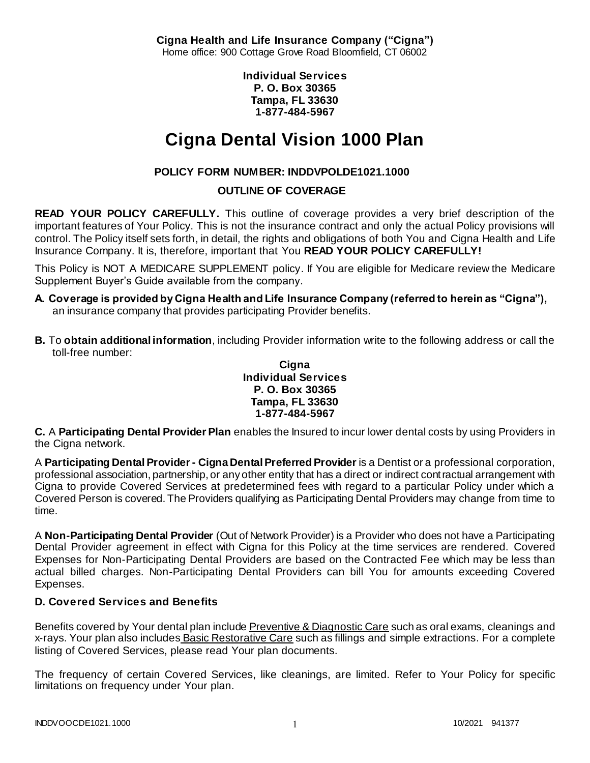**Cigna Health and Life Insurance Company ("Cigna")** Home office: 900 Cottage Grove Road Bloomfield, CT 06002

> **Individual Services P. O. Box 30365 Tampa, FL 33630 1-877-484-5967**

# **Cigna Dental Vision 1000 Plan**

# **POLICY FORM NUMBER: INDDVPOLDE1021.1000**

# **OUTLINE OF COVERAGE**

**READ YOUR POLICY CAREFULLY.** This outline of coverage provides a very brief description of the important features of Your Policy. This is not the insurance contract and only the actual Policy provisions will control. The Policy itself sets forth, in detail, the rights and obligations of both You and Cigna Health and Life Insurance Company. It is, therefore, important that You **READ YOUR POLICY CAREFULLY!** 

This Policy is NOT A MEDICARE SUPPLEMENT policy. If You are eligible for Medicare review the Medicare Supplement Buyer's Guide available from the company.

- **A. Coverage is provided by Cigna Health and Life Insurance Company (referred to herein as "Cigna"),**  an insurance company that provides participating Provider benefits.
- **B.** To **obtain additional information**, including Provider information write to the following address or call the toll-free number:

#### **Cigna Individual Services P. O. Box 30365 Tampa, FL 33630 1-877-484-5967**

**C.** A **Participating Dental Provider Plan** enables the Insured to incur lower dental costs by using Providers in the Cigna network.

A **Participating Dental Provider - Cigna Dental Preferred Provider** is a Dentist or a professional corporation, professional association, partnership, or any other entity that has a direct or indirect contractual arrangement with Cigna to provide Covered Services at predetermined fees with regard to a particular Policy under which a Covered Person is covered. The Providers qualifying as Participating Dental Providers may change from time to time.

A **Non-Participating Dental Provider** (Out of Network Provider) is a Provider who does not have a Participating Dental Provider agreement in effect with Cigna for this Policy at the time services are rendered. Covered Expenses for Non-Participating Dental Providers are based on the Contracted Fee which may be less than actual billed charges. Non-Participating Dental Providers can bill You for amounts exceeding Covered Expenses.

### **D. Covered Services and Benefits**

Benefits covered by Your dental plan include Preventive & Diagnostic Care such as oral exams, cleanings and x-rays. Your plan also includes Basic Restorative Care such as fillings and simple extractions. For a complete listing of Covered Services, please read Your plan documents.

The frequency of certain Covered Services, like cleanings, are limited. Refer to Your Policy for specific limitations on frequency under Your plan.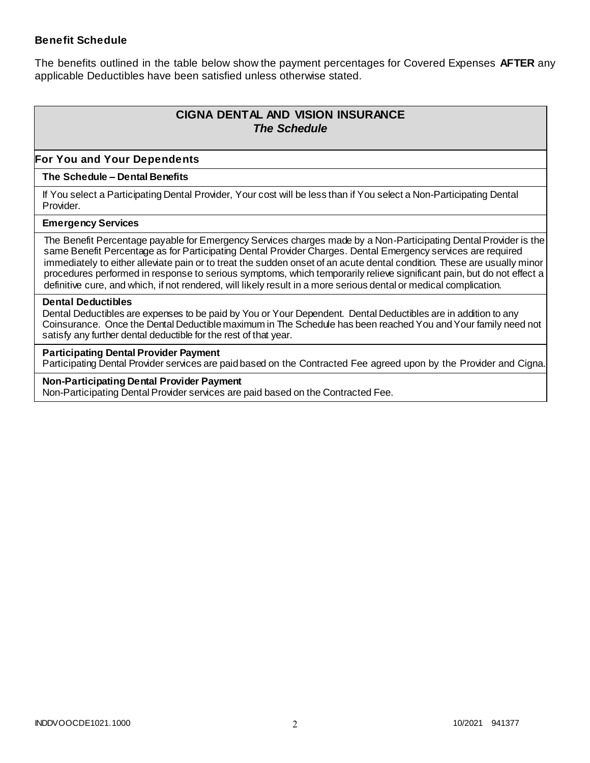### **Benefit Schedule**

The benefits outlined in the table below show the payment percentages for Covered Expenses **AFTER** any applicable Deductibles have been satisfied unless otherwise stated.

# **CIGNA DENTAL AND VISION INSURANCE** *The Schedule*

### **For You and Your Dependents**

#### **The Schedule – Dental Benefits**

If You select a Participating Dental Provider, Your cost will be less than if You select a Non-Participating Dental Provider.

#### **Emergency Services**

The Benefit Percentage payable for Emergency Services charges made by a Non-Participating Dental Provider is the same Benefit Percentage as for Participating Dental Provider Charges. Dental Emergency services are required immediately to either alleviate pain or to treat the sudden onset of an acute dental condition. These are usually minor procedures performed in response to serious symptoms, which temporarily relieve significant pain, but do not effect a definitive cure, and which, if not rendered, will likely result in a more serious dental or medical complication.

#### **Dental Deductibles**

Dental Deductibles are expenses to be paid by You or Your Dependent. Dental Deductibles are in addition to any Coinsurance. Once the Dental Deductible maximum in The Schedule has been reached You and Your family need not satisfy any further dental deductible for the rest of that year.

#### **Participating Dental Provider Payment**

Participating Dental Provider services are paid based on the Contracted Fee agreed upon by the Provider and Cigna.

**Non-Participating Dental Provider Payment** Non-Participating Dental Provider services are paid based on the Contracted Fee.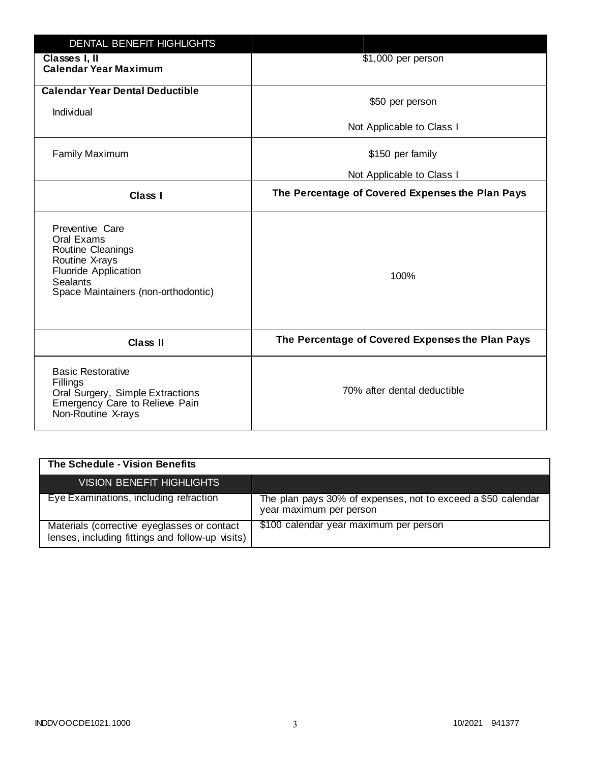| DENTAL BENEFIT HIGHLIGHTS                                                                                                                                     |                                                  |
|---------------------------------------------------------------------------------------------------------------------------------------------------------------|--------------------------------------------------|
| Classes I, II<br><b>Calendar Year Maximum</b>                                                                                                                 | \$1,000 per person                               |
| <b>Calendar Year Dental Deductible</b><br>Individual                                                                                                          | \$50 per person                                  |
|                                                                                                                                                               | Not Applicable to Class I                        |
| <b>Family Maximum</b>                                                                                                                                         | \$150 per family                                 |
|                                                                                                                                                               | Not Applicable to Class I                        |
| <b>Class I</b>                                                                                                                                                | The Percentage of Covered Expenses the Plan Pays |
| Preventive Care<br>Oral Exams<br>Routine Cleanings<br>Routine X-rays<br><b>Fluoride Application</b><br><b>Sealants</b><br>Space Maintainers (non-orthodontic) | 100%                                             |
| <b>Class II</b>                                                                                                                                               | The Percentage of Covered Expenses the Plan Pays |
| <b>Basic Restorative</b><br>Fillings<br>Oral Surgery, Simple Extractions<br>Emergency Care to Relieve Pain<br>Non-Routine X-rays                              | 70% after dental deductible                      |

| The Schedule - Vision Benefits                                                                  |                                                                                         |
|-------------------------------------------------------------------------------------------------|-----------------------------------------------------------------------------------------|
| VISION BENEFIT HIGHLIGHTS                                                                       |                                                                                         |
| Eye Examinations, including refraction                                                          | The plan pays 30% of expenses, not to exceed a \$50 calendar<br>year maximum per person |
| Materials (corrective eyeglasses or contact<br>lenses, including fittings and follow-up visits) | \$100 calendar year maximum per person                                                  |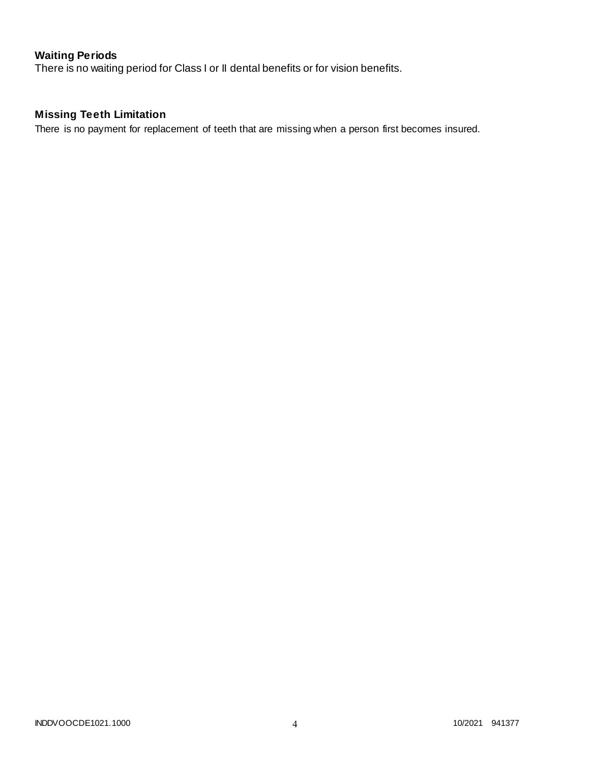# **Waiting Periods**

There is no waiting period for Class I or II dental benefits or for vision benefits.

# **Missing Teeth Limitation**

There is no payment for replacement of teeth that are missing when a person first becomes insured.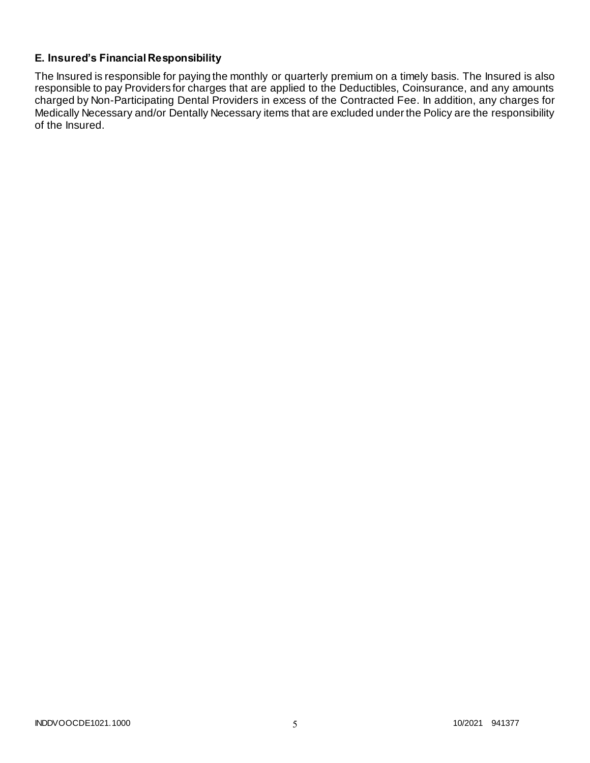## **E. Insured's Financial Responsibility**

The Insured is responsible for paying the monthly or quarterly premium on a timely basis. The Insured is also responsible to pay Providers for charges that are applied to the Deductibles, Coinsurance, and any amounts charged by Non-Participating Dental Providers in excess of the Contracted Fee. In addition, any charges for Medically Necessary and/or Dentally Necessary items that are excluded under the Policy are the responsibility of the Insured.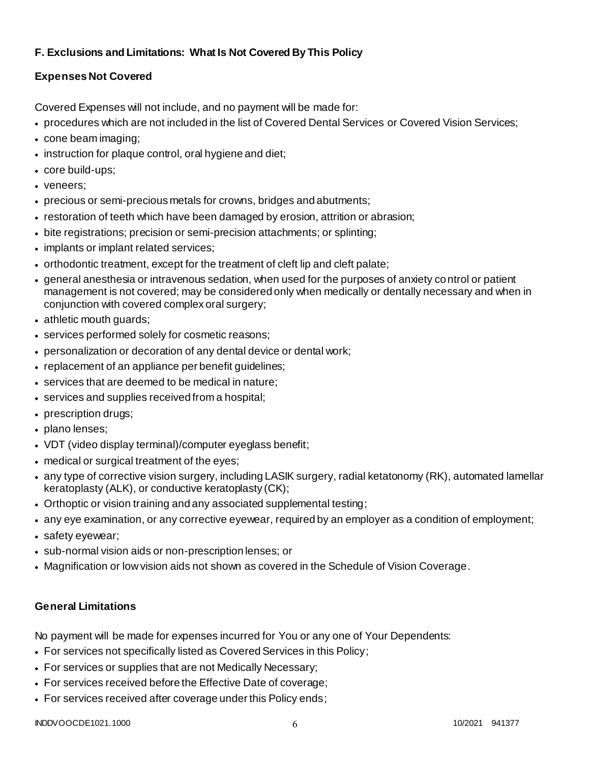# **F. Exclusions and Limitations: What Is Not Covered By This Policy**

# **Expenses Not Covered**

Covered Expenses will not include, and no payment will be made for:

- procedures which are not included in the list of Covered Dental Services or Covered Vision Services;
- cone beam imaging;
- instruction for plaque control, oral hygiene and diet;
- core build-ups;
- veneers;
- precious or semi-precious metals for crowns, bridges and abutments;
- restoration of teeth which have been damaged by erosion, attrition or abrasion;
- bite registrations; precision or semi-precision attachments; or splinting;
- implants or implant related services;
- orthodontic treatment, except for the treatment of cleft lip and cleft palate;
- general anesthesia or intravenous sedation, when used for the purposes of anxiety control or patient management is not covered; may be considered only when medically or dentally necessary and when in conjunction with covered complex oral surgery;
- athletic mouth guards;
- services performed solely for cosmetic reasons;
- personalization or decoration of any dental device or dental work;
- replacement of an appliance per benefit quidelines;
- services that are deemed to be medical in nature;
- services and supplies received from a hospital;
- prescription drugs;
- plano lenses;
- VDT (video display terminal)/computer eyeglass benefit;
- medical or surgical treatment of the eyes;
- any type of corrective vision surgery, including LASIK surgery, radial ketatonomy (RK), automated lamellar keratoplasty (ALK), or conductive keratoplasty (CK);
- Orthoptic or vision training and any associated supplemental testing;
- any eye examination, or any corrective eyewear, required by an employer as a condition of employment;
- safety eyewear;
- sub-normal vision aids or non-prescription lenses; or
- Magnification or low vision aids not shown as covered in the Schedule of Vision Coverage.

# **General Limitations**

No payment will be made for expenses incurred for You or any one of Your Dependents:

- For services not specifically listed as Covered Services in this Policy;
- For services or supplies that are not Medically Necessary;
- For services received before the Effective Date of coverage;
- For services received after coverage under this Policy ends;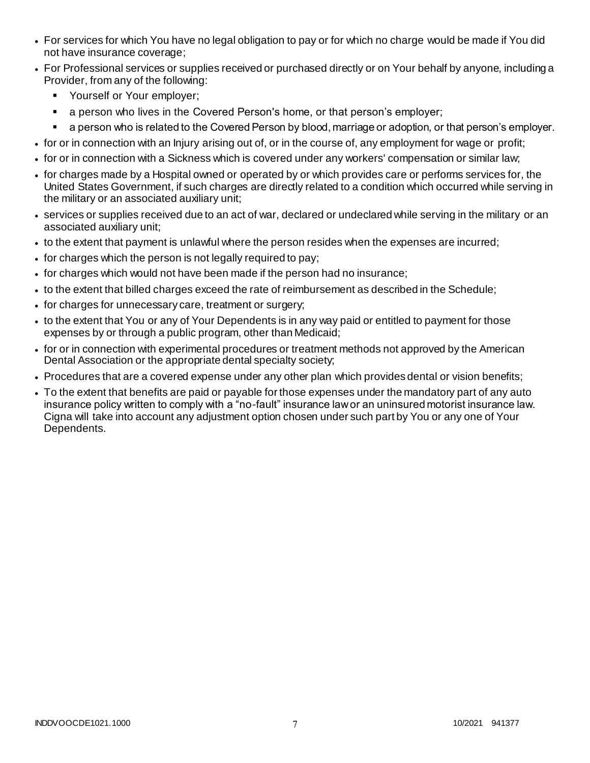- For services for which You have no legal obligation to pay or for which no charge would be made if You did not have insurance coverage;
- For Professional services or supplies received or purchased directly or on Your behalf by anyone, including a Provider, from any of the following:
	- **Yourself or Your employer;**
	- **a** person who lives in the Covered Person's home, or that person's employer;
	- a person who is related to the Covered Person by blood, marriage or adoption, or that person's employer.
- for or in connection with an Injury arising out of, or in the course of, any employment for wage or profit;
- for or in connection with a Sickness which is covered under any workers' compensation or similar law;
- for charges made by a Hospital owned or operated by or which provides care or performs services for, the United States Government, if such charges are directly related to a condition which occurred while serving in the military or an associated auxiliary unit;
- services or supplies received due to an act of war, declared or undeclared while serving in the military or an associated auxiliary unit;
- to the extent that payment is unlawful where the person resides when the expenses are incurred;
- for charges which the person is not legally required to pay;
- for charges which would not have been made if the person had no insurance;
- to the extent that billed charges exceed the rate of reimbursement as described in the Schedule;
- for charges for unnecessary care, treatment or surgery;
- to the extent that You or any of Your Dependents is in any way paid or entitled to payment for those expenses by or through a public program, other than Medicaid;
- for or in connection with experimental procedures or treatment methods not approved by the American Dental Association or the appropriate dental specialty society;
- Procedures that are a covered expense under any other plan which provides dental or vision benefits;
- To the extent that benefits are paid or payable for those expenses under the mandatory part of any auto insurance policy written to comply with a "no-fault" insurance law or an uninsured motorist insurance law. Cigna will take into account any adjustment option chosen under such part by You or any one of Your Dependents.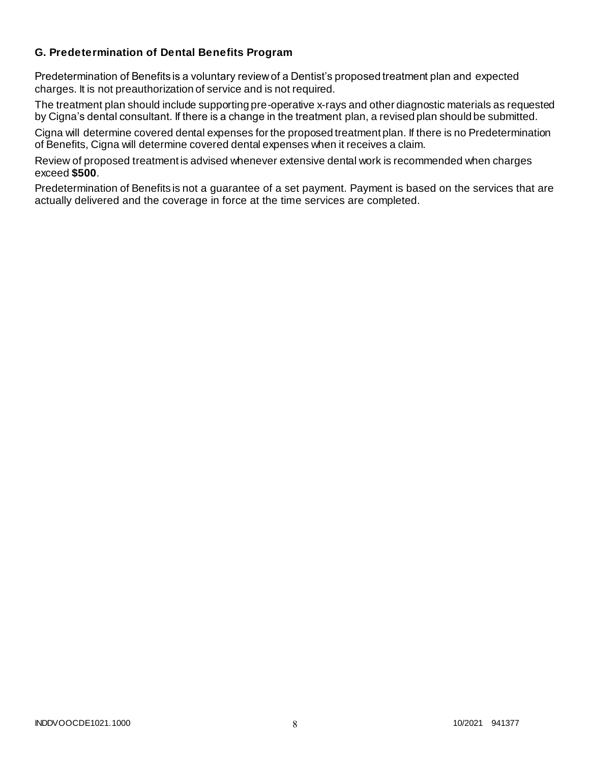### **G. Predetermination of Dental Benefits Program**

Predetermination of Benefits is a voluntary review of a Dentist's proposed treatment plan and expected charges. It is not preauthorization of service and is not required.

The treatment plan should include supporting pre-operative x-rays and other diagnostic materials as requested by Cigna's dental consultant. If there is a change in the treatment plan, a revised plan should be submitted.

Cigna will determine covered dental expenses for the proposed treatment plan. If there is no Predetermination of Benefits, Cigna will determine covered dental expenses when it receives a claim.

Review of proposed treatment is advised whenever extensive dental work is recommended when charges exceed **\$500**.

Predetermination of Benefits is not a guarantee of a set payment. Payment is based on the services that are actually delivered and the coverage in force at the time services are completed.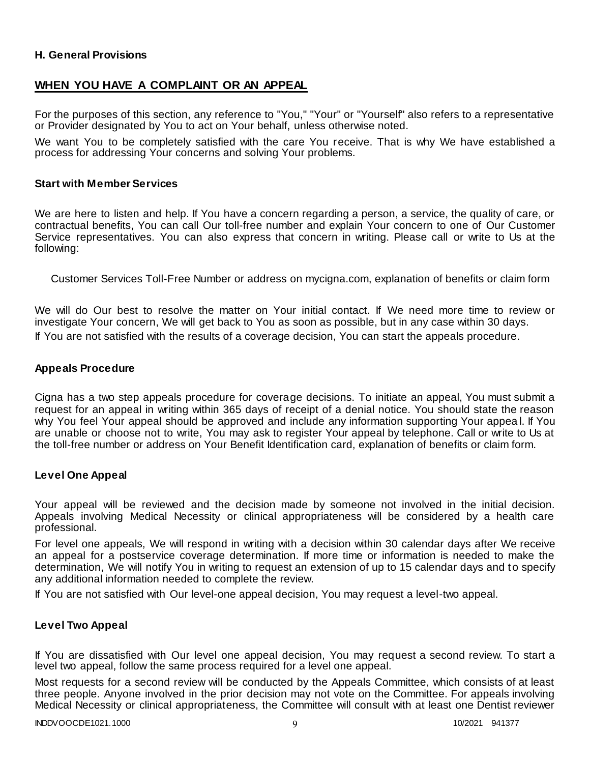### **H. General Provisions**

### **WHEN YOU HAVE A COMPLAINT OR AN APPEAL**

For the purposes of this section, any reference to "You," "Your" or "Yourself" also refers to a representative or Provider designated by You to act on Your behalf, unless otherwise noted.

We want You to be completely satisfied with the care You receive. That is why We have established a process for addressing Your concerns and solving Your problems.

#### **Start with Member Services**

We are here to listen and help. If You have a concern regarding a person, a service, the quality of care, or contractual benefits, You can call Our toll-free number and explain Your concern to one of Our Customer Service representatives. You can also express that concern in writing. Please call or write to Us at the following:

Customer Services Toll-Free Number or address on mycigna.com, explanation of benefits or claim form

We will do Our best to resolve the matter on Your initial contact. If We need more time to review or investigate Your concern, We will get back to You as soon as possible, but in any case within 30 days. If You are not satisfied with the results of a coverage decision, You can start the appeals procedure.

#### **Appeals Procedure**

Cigna has a two step appeals procedure for coverage decisions. To initiate an appeal, You must submit a request for an appeal in writing within 365 days of receipt of a denial notice. You should state the reason why You feel Your appeal should be approved and include any information supporting Your appea l. If You are unable or choose not to write, You may ask to register Your appeal by telephone. Call or write to Us at the toll-free number or address on Your Benefit Identification card, explanation of benefits or claim form.

#### **Level One Appeal**

Your appeal will be reviewed and the decision made by someone not involved in the initial decision. Appeals involving Medical Necessity or clinical appropriateness will be considered by a health care professional.

For level one appeals, We will respond in writing with a decision within 30 calendar days after We receive an appeal for a postservice coverage determination. If more time or information is needed to make the determination, We will notify You in writing to request an extension of up to 15 calendar days and to specify any additional information needed to complete the review.

If You are not satisfied with Our level-one appeal decision, You may request a level-two appeal.

#### **Level Two Appeal**

If You are dissatisfied with Our level one appeal decision, You may request a second review. To start a level two appeal, follow the same process required for a level one appeal.

Most requests for a second review will be conducted by the Appeals Committee, which consists of at least three people. Anyone involved in the prior decision may not vote on the Committee. For appeals involving Medical Necessity or clinical appropriateness, the Committee will consult with at least one Dentist reviewer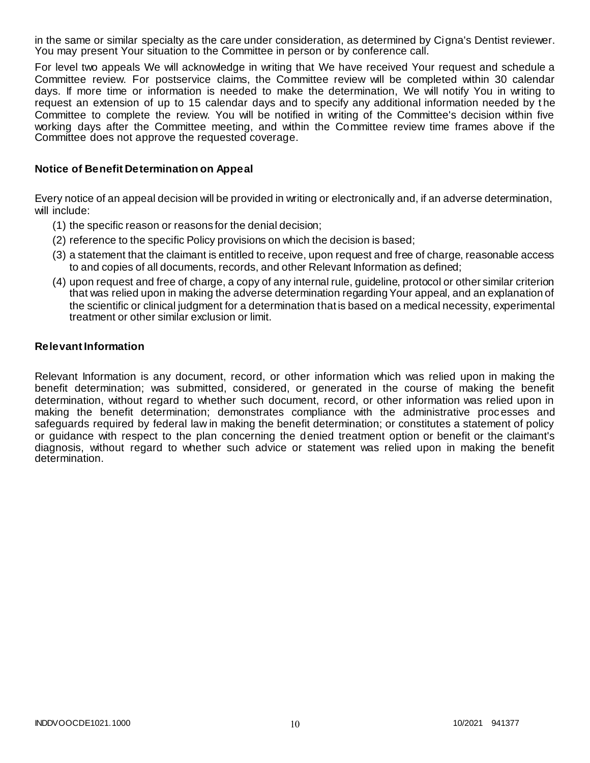in the same or similar specialty as the care under consideration, as determined by Cigna's Dentist reviewer. You may present Your situation to the Committee in person or by conference call.

For level two appeals We will acknowledge in writing that We have received Your request and schedule a Committee review. For postservice claims, the Committee review will be completed within 30 calendar days. If more time or information is needed to make the determination, We will notify You in writing to request an extension of up to 15 calendar days and to specify any additional information needed by t he Committee to complete the review. You will be notified in writing of the Committee's decision within five working days after the Committee meeting, and within the Committee review time frames above if the Committee does not approve the requested coverage.

#### **Notice of Benefit Determination on Appeal**

Every notice of an appeal decision will be provided in writing or electronically and, if an adverse determination, will include:

- (1) the specific reason or reasons for the denial decision;
- (2) reference to the specific Policy provisions on which the decision is based;
- (3) a statement that the claimant is entitled to receive, upon request and free of charge, reasonable access to and copies of all documents, records, and other Relevant Information as defined;
- (4) upon request and free of charge, a copy of any internal rule, guideline, protocol or other similar criterion that was relied upon in making the adverse determination regarding Your appeal, and an explanation of the scientific or clinical judgment for a determination that is based on a medical necessity, experimental treatment or other similar exclusion or limit.

#### **Relevant Information**

Relevant Information is any document, record, or other information which was relied upon in making the benefit determination; was submitted, considered, or generated in the course of making the benefit determination, without regard to whether such document, record, or other information was relied upon in making the benefit determination; demonstrates compliance with the administrative processes and safeguards required by federal law in making the benefit determination; or constitutes a statement of policy or guidance with respect to the plan concerning the denied treatment option or benefit or the claimant's diagnosis, without regard to whether such advice or statement was relied upon in making the benefit determination.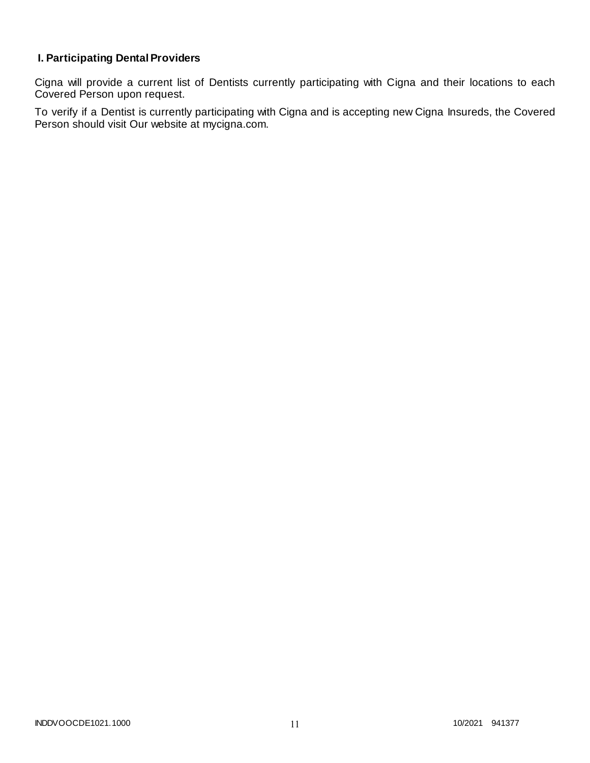# **I. Participating Dental Providers**

Cigna will provide a current list of Dentists currently participating with Cigna and their locations to each Covered Person upon request.

To verify if a Dentist is currently participating with Cigna and is accepting new Cigna Insureds, the Covered Person should visit Our website at mycigna.com.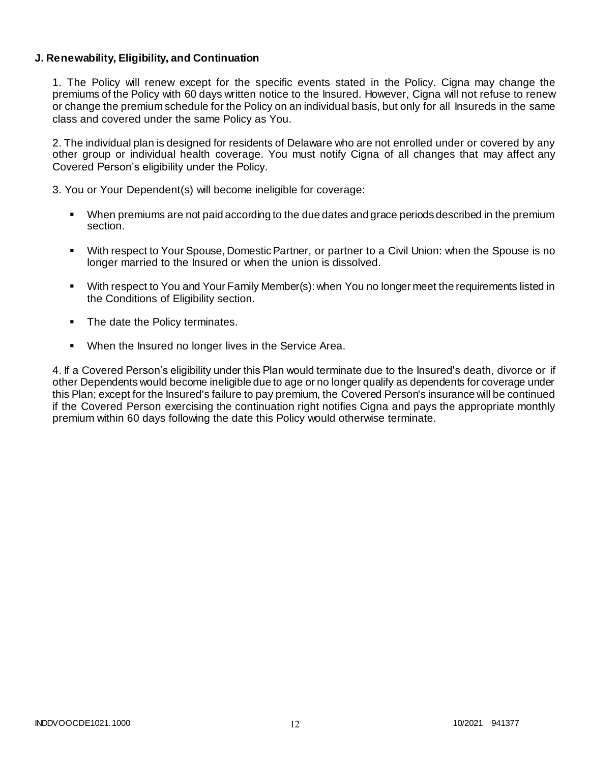### **J. Renewability, Eligibility, and Continuation**

1. The Policy will renew except for the specific events stated in the Policy. Cigna may change the premiums of the Policy with 60 days written notice to the Insured. However, Cigna will not refuse to renew or change the premium schedule for the Policy on an individual basis, but only for all Insureds in the same class and covered under the same Policy as You.

2. The individual plan is designed for residents of Delaware who are not enrolled under or covered by any other group or individual health coverage. You must notify Cigna of all changes that may affect any Covered Person's eligibility under the Policy.

3. You or Your Dependent(s) will become ineligible for coverage:

- When premiums are not paid according to the due dates and grace periods described in the premium section.
- With respect to Your Spouse, Domestic Partner, or partner to a Civil Union: when the Spouse is no longer married to the Insured or when the union is dissolved.
- With respect to You and Your Family Member(s): when You no longer meet the requirements listed in the Conditions of Eligibility section.
- The date the Policy terminates.
- When the Insured no longer lives in the Service Area.

4. If a Covered Person's eligibility under this Plan would terminate due to the Insured's death, divorce or if other Dependents would become ineligible due to age or no longer qualify as dependents for coverage under this Plan; except for the Insured's failure to pay premium, the Covered Person's insurance will be continued if the Covered Person exercising the continuation right notifies Cigna and pays the appropriate monthly premium within 60 days following the date this Policy would otherwise terminate.